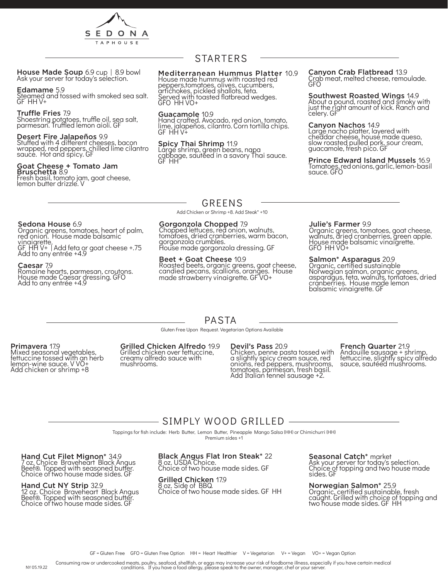

House Made Soup 6.9 cup | 8.9 bowl<br>Ask your server for today's selection.

### Edamame 5.9

Steamed and tossed with smoked sea salt. GF HH V+

### Truffle Fries 7.9

Shoestring potatoes, truffle oil, sea salt, parmesan. Truffled lemon aioli. GF

### Desert Fire Jalapeños 9.9

Stuffed with 4 different cheeses, bacon wrapped, red peppers, chilled lime cilantro sauce. Hot and spicy. GF

### Goat Cheese + Tomato Jam Bruschetta 8.9

Fresh basil, tomato jam, goat cheese, lemon butter drizzle. V

# STARTERS

### Mediterranean Hummus Platter 10.9

House made hummus with roasted red peppers,tomatoes, olives, cucumbers, artichokes, pickled shallots, feta. Served with toasted flatbread wedges. GFO HH VO+

### Guacamole 10.9

Hand crafted. Avocado, red onion, tomato, lime, jalapeños, cilantro. Corn tortilla chips. GF HH V+

### Spicy Thai Shrimp 11.9

Large shrimp, green beans, napa cabbage, sautéed in a savory Thai sauce. GF HH

### Canyon Crab Flatbread 13.9 Crab meat, melted cheese, remoulade.

GFO

### Southwest Roasted Wings 14.9 About a pound, roasted and smoky with just the right amount of kick. Ranch and celery. GF

### Canyon Nachos 14.9

Large nacho platter, layered with cheddar cheese, house made queso, slow roasted pulled pork, sour cream, guacamole, fresh pico. GF

### Prince Edward Island Mussels 16.9 Tomatoes, red onions, garlic, lemon- basil sauce. GFO

## GREENS

Add Chicken or Shrimp +8. Add Steak\* +10

### Gorgonzola Chopped 7.9

Chopped lettuces, red onion, walnuts, tomatoes, dried cranberries, warm bacon, gorgonzola crumbles. House made gorgonzola dressing. GF

### Beet + Goat Cheese 10.9

Roasted beets, organic greens, goat cheese, candied pecans, scallions, oranges. House made strawberry vinaigrette. GF VO+

### Julie's Farmer 9.9

Organic greens, tomatoes, goat cheese, walnuts, dried cranberries, green apple. House made balsamic vinaigrette. GFO HH VO+

### Salmon\* Asparagus 20.9

Organic, certified sustainable Norwegian salmon, organic greens, asparagus, feta, walnuts, tomatoes, dried cranberries. House made lemon balsamic vinaigrette. GF

# Sedona House 6.9

Organic greens, tomatoes, heart of palm, red onion. House made balsamic vinaigrette.

GF HH V+ | Add feta or goat cheese +.75 Add to any entrée +4.9

### Caesar 7.9

Romaine hearts, parmesan, croutons. House made Caesar dressing. GFO Add to any entrée +4.9

# PASTA

Gluten Free Upon Request. Vegetarian Options Available

### Primavera 17.9

Mixed seasonal vegetables, fettuccine tossed with an herb lemon-wine sauce. V VO+ Add chicken or shrimp +8

#### Grilled Chicken Alfredo 19.9 Grilled chicken over fettuccine, creamy alfredo sauce with mushróoms.

### Devil's Pass 20.9

Chicken, penne pasta tossed with a slightly spicy cream sauce, red onions, red peppers, mushrooms, tomatoes, parmesan, fresh basil. Add Italian fennel sausage +2.

# French Quarter 21.9

Andouille sausage + shrimp, fettuccine, slightly spicy alfredo sauce, sautéed mushrooms.

# - SIMPLY WOOD GRILLED -

Toppings for fish include: Herb Butter, Lemon Butter, Pineapple Mango Salsa (HH) or Chimichurri (HH)

Premium sides +1

Hand Cut Filet Mignon\* 34.9 7 oz. Choice Braveheart Black Angus Beef®. Topped with seasoned butter. Choice of two house made sides. GF

### Hand Cut NY Strip 32.9

12 oz. Choice Braveheart Black Angus Beef®. Topped with seasoned butter. Choice of two house made sides. GF

### Black Angus Flat Iron Steak\* 22 8 oz. USDA Choice.

Choice of two house made sides. GF

### Grilled Chicken 17.9

8 oz. Side of BBQ. Choice of two house made sides. GF HH

Seasonal Catch\* market Ask your server for today's selection. Choice of topping and two house made sides. GF

Norwegian Salmon\* 25.9 Organic, certified sustainable, fresh caught. Grilled with choice of topping and two house made sides. GF HH

Consuming raw or undercooked meats, poultry, seafood, shellfish, or eggs may increase your risk of foodborne illness, especially if you have certain medical<br>conditions. If you have a food allergy, please speak to the owner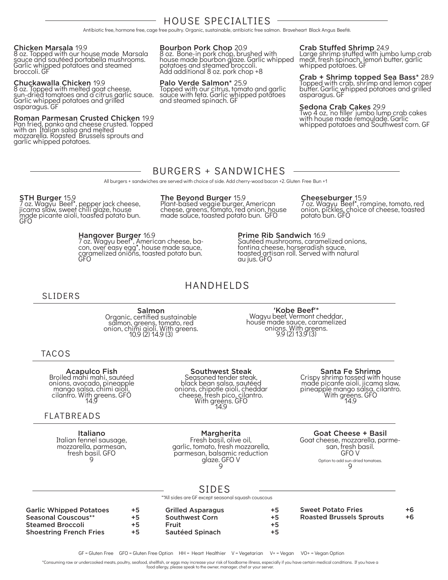# HOUSE SPECIALTIES

Antibiotic free, hormone free, cage free poultry. Organic, sustainable, antibiotic free salmon. Braveheart Black Angus Beef®.

### Chicken Marsala 19.9

8 oz. Topped with our house made Marsala sauce and sautéed portabella mushrooms. Garlic whipped potatoes and steamed broccoli. GF

### Chuckawalla Chicken 19.9

8 oz. Topped with melted goat cheese, sun-dried tomatoes and a citrus garlic sauce. Garlic whipped potatoes and grilled asparagus. GF

### Roman Parmesan Crusted Chicken 19.9

Pan fried, panko and cheese crusted. Topped with an Italian salsa and melted mozzarella. Roasted Brussels sprouts and garlic whipped potatoes.

Bourbon Pork Chop 20.9

8 oz. Bone-in pork chop, brushed with house made bourbon glaze. Garlic whipped potatoes and steamed broccoli. Add additional 8 oz. pork chop +8

### Palo Verde Salmon\* 25.9

Topped with our citrus, tomato and garlic sauce with feta. Garlic whipped potatoes and steamed spinach. GF

### Crab Stuffed Shrimp 24.9

Large shrimp stuffed with jumbo lump crab meat, fresh spinach, lemon butter, garlic whipped potatoes. GF

Crab + Shrimp topped Sea Bass\* 28.9 Topped with crab, shrimp and lemon caper butter. Garlic whipped potatoes and grilled asparagus. GF

**Sedona Crab Cakes** 29.9<br>Two 4 oz, 'no filler' jumbo lump crab cakes with house made remoulade. Garlic whipped potatoes and Southwest corn. GF

# BURGERS + SANDWICHES

All burgers + sandwiches are served with choice of side. Add cherry-wood bacon +2. Gluten Free Bun +1

### STH Burger 15.9

7 oz. Wagyu Beef\*, pepper jack cheese, jicama slaw, sweet chili glaze, house made picante aioli, toasted potato bun. GFO

### Hangover Burger 16.9

7 oz. Wagyu beef\*, American cheese, ba- con, over easy egg\*, house made sauce, caramelized onions, toasted potato bun. **GFO** 

## The Beyond Burger 15.9

Plant-based veggie burger, American cheese, greens, tomato, red onion, house made sauce, toasted potato bun. GFO

### Cheeseburger<sub>, 15.9</sub>

7 oz. Wagyu Beef\*, romaine, tomato, red onion, pickles, choice of cheese, toasted potato bun. GFO

au jus. GFO

HANDHELDS

### SLIDERS

Salmon Organic, certified sustainable salmon, greens, tomato, red onion, chimi aioli. With greens. 10.9 (2) 14.9 (3)

'Kobe Beef'\* Wagyu beef, Vermont cheddar, house made sauce, caramelized onions. With greens. 9.9 (2) 13.9 (3)

Prime Rib Sandwich 16.9

Sautéed mushrooms, caramelized onions, fontina cheese, horseradish sauce, toasted artisan roll. Served with natural

### TACOS

**Acapulco Fish**<br>Broiled mahi mahi, sautéed onions, avocado, pineapple mango salsa, chimi aioli, cilantro. With greens. GFO 14.9

# FLATBREADS

Italiano Italian fennel sausage, mozzarella, parmesan,<br>fresh basil. GFO 9

# Southwest Steak

Seasoned tender steak, black bean salsa, sautéed onions, chipotle aioli, cheddar cheese, fresh pico, cilantro. With greens. GFO 14.9

Margherita

Fresh basil, olive oil, garlic, tomato, fresh mozzarella, parmesan, balsamic reduction glaze. GFO V 9

**Santa Fe Shrimp**<br>Crispy shrimp tossed with house made picante aioli, jicama slaw, pineapple mango salsa, cilantro. With greens. GFO 14.9

Goat Cheese + Basil

Goat cheese, mozzarella, parme- san, fresh basil. GFO V Option to add sun-dried tomatoes.  $\mathsf{Q}$ 

# SIDES

\*\*All sides are GF except seasonal squash couscous

| <b>Garlic Whipped Potatoes</b><br>Seasonal Couscous**<br><b>Steamed Broccoli</b><br><b>Shoestring French Fries</b> | $+5$<br>$+5$<br>+5<br>$+5$ | <b>Grilled Asparagus</b><br><b>Southwest Corn</b><br>Fruit<br><b>Sautéed Spinach</b> | $+5$<br>$+5$<br>+5<br>+5 | <b>Sweet Potato Fries</b><br><b>Roasted Brussels Sprouts</b> | $+6$<br>$+6$ |
|--------------------------------------------------------------------------------------------------------------------|----------------------------|--------------------------------------------------------------------------------------|--------------------------|--------------------------------------------------------------|--------------|
|                                                                                                                    |                            |                                                                                      |                          |                                                              |              |

GF = Gluten Free GFO = Gluten Free Option HH = Heart Healthier V = Vegetarian V+ = Vegan VO+ = Vegan Option

\*Consuming raw or undercooked meats, poultry, seafood, shellfish, or eggs may increase your risk of foodborne illness, especially if you have certain medical conditions. If you have a

food allergy, please speak to the owner, manager, chef or your server.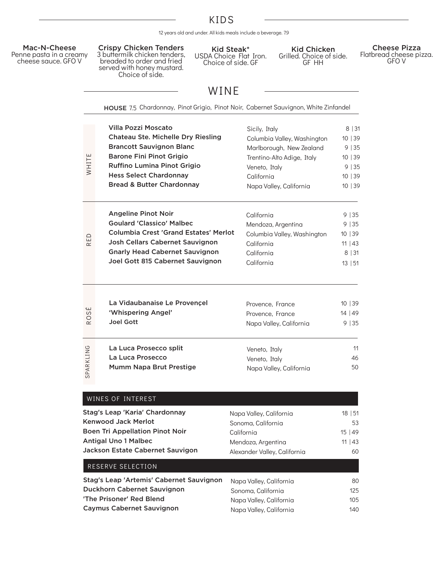# KIDS

12 years old and under. All kids meals include a beverage. 7.9



Kid Steak\* USDA Choice Flat Iron. Choice of side. GF

Kid Chicken Grilled. Choice of side. GF HH

> 125 105 140

Cheese Pizza Flatbread cheese pizza. GFO V

# WINE

|                                                                                                                                                                           | HOUSE 7.5 Chardonnay, Pinot Grigio, Pinot Noir, Cabernet Sauvignon, White Zinfandel                                                                                                                                                            |                                                                                                                                                                  |                                                            |
|---------------------------------------------------------------------------------------------------------------------------------------------------------------------------|------------------------------------------------------------------------------------------------------------------------------------------------------------------------------------------------------------------------------------------------|------------------------------------------------------------------------------------------------------------------------------------------------------------------|------------------------------------------------------------|
| WHITE                                                                                                                                                                     | Villa Pozzi Moscato<br>Chateau Ste. Michelle Dry Riesling<br><b>Brancott Sauvignon Blanc</b><br><b>Barone Fini Pinot Grigio</b><br><b>Ruffino Lumina Pinot Grigio</b><br><b>Hess Select Chardonnay</b><br><b>Bread &amp; Butter Chardonnay</b> | Sicily, Italy<br>Columbia Valley, Washington<br>Marlborough, New Zealand<br>Trentino-Alto Adige, Italy<br>Veneto, Italy<br>California<br>Napa Valley, California | 8 31<br>10 39<br>9 35<br>10 39<br>9 35<br>10 39<br>10   39 |
| RED                                                                                                                                                                       | <b>Angeline Pinot Noir</b><br><b>Goulard 'Classico' Malbec</b><br><b>Columbia Crest 'Grand Estates' Merlot</b><br><b>Josh Cellars Cabernet Sauvignon</b><br><b>Gnarly Head Cabernet Sauvignon</b><br>Joel Gott 815 Cabernet Sauvignon          | California<br>Mendoza, Argentina<br>Columbia Valley, Washington<br>California<br>California<br>California                                                        | 9 35<br>9 35<br>10 39<br>$11 \mid 43$<br>8 31<br>13   51   |
| S<br>R <sub>O</sub>                                                                                                                                                       | La Vidaubanaise Le Provençel<br>'Whispering Angel'<br><b>Joel Gott</b>                                                                                                                                                                         | Provence, France<br>Provence, France<br>Napa Valley, California                                                                                                  | 10 39<br>14   49<br>9   35                                 |
| SPARKLING                                                                                                                                                                 | La Luca Prosecco split<br>La Luca Prosecco<br>Mumm Napa Brut Prestige                                                                                                                                                                          | Veneto, Italy<br>Veneto, Italy<br>Napa Valley, California                                                                                                        | 11<br>46<br>50                                             |
|                                                                                                                                                                           | WINES OF INTEREST                                                                                                                                                                                                                              |                                                                                                                                                                  |                                                            |
| Stag's Leap 'Karia' Chardonnay<br><b>Kenwood Jack Merlot</b><br><b>Boen Tri Appellation Pinot Noir</b><br><b>Antigal Uno 1 Malbec</b><br>Jackson Estate Cabernet Sauvigon |                                                                                                                                                                                                                                                | Napa Valley, California<br>Sonoma, California<br>California<br>Mendoza, Argentina<br>Alexander Valley, California                                                | 18   51<br>53<br>15   49<br>$11 \mid 43$<br>60             |
|                                                                                                                                                                           | RESERVE SELECTION                                                                                                                                                                                                                              |                                                                                                                                                                  |                                                            |
|                                                                                                                                                                           | Stag's Leap 'Artemis' Cabernet Sauvignon                                                                                                                                                                                                       | Napa Valley, California                                                                                                                                          | 80                                                         |

Duckhorn Cabernet Sauvignon 'The Prisoner' Red Blend Caymus Cabernet Sauvignon Sonoma, California Napa Valley, California Napa Valley, California